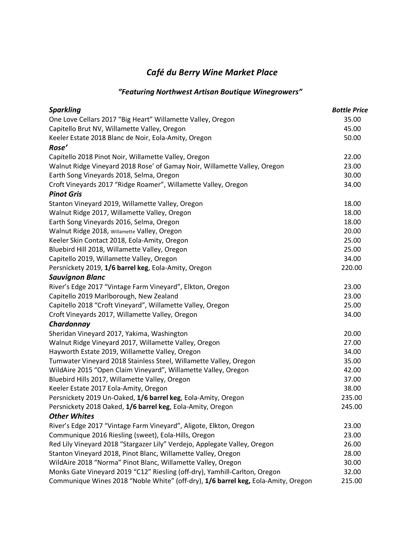## *Café du Berry Wine Market Place*

## *"Featuring Northwest Artisan Boutique Winegrowers"*

| <b>Sparkling</b>                                                                  | <b>Bottle Price</b> |
|-----------------------------------------------------------------------------------|---------------------|
| One Love Cellars 2017 "Big Heart" Willamette Valley, Oregon                       | 35.00               |
| Capitello Brut NV, Willamette Valley, Oregon                                      | 45.00               |
| Keeler Estate 2018 Blanc de Noir, Eola-Amity, Oregon                              | 50.00               |
| Rose'                                                                             |                     |
| Capitello 2018 Pinot Noir, Willamette Valley, Oregon                              | 22.00               |
| Walnut Ridge Vineyard 2018 Rose' of Gamay Noir, Willamette Valley, Oregon         | 23.00               |
| Earth Song Vineyards 2018, Selma, Oregon                                          | 30.00               |
| Croft Vineyards 2017 "Ridge Roamer", Willamette Valley, Oregon                    | 34.00               |
| <b>Pinot Gris</b>                                                                 |                     |
| Stanton Vineyard 2019, Willamette Valley, Oregon                                  | 18.00               |
| Walnut Ridge 2017, Willamette Valley, Oregon                                      | 18.00               |
| Earth Song Vineyards 2016, Selma, Oregon                                          | 18.00               |
| Walnut Ridge 2018, Willamette Valley, Oregon                                      | 20.00               |
| Keeler Skin Contact 2018, Eola-Amity, Oregon                                      | 25.00               |
| Bluebird Hill 2018, Willamette Valley, Oregon                                     | 25.00               |
| Capitello 2019, Willamette Valley, Oregon                                         | 34.00               |
| Persnickety 2019, 1/6 barrel keg, Eola-Amity, Oregon                              | 220.00              |
| <b>Sauvignon Blanc</b>                                                            |                     |
| River's Edge 2017 "Vintage Farm Vineyard", Elkton, Oregon                         | 23.00               |
| Capitello 2019 Marlborough, New Zealand                                           | 23.00               |
| Capitello 2018 "Croft Vineyard", Willamette Valley, Oregon                        | 25.00               |
| Croft Vineyards 2017, Willamette Valley, Oregon                                   | 34.00               |
| Chardonnay                                                                        |                     |
| Sheridan Vineyard 2017, Yakima, Washington                                        | 20.00               |
| Walnut Ridge Vineyard 2017, Willamette Valley, Oregon                             | 27.00               |
| Hayworth Estate 2019, Willamette Valley, Oregon                                   | 34.00               |
| Tumwater Vineyard 2018 Stainless Steel, Willamette Valley, Oregon                 | 35.00               |
| WildAire 2015 "Open Claim Vineyard", Willamette Valley, Oregon                    | 42.00               |
| Bluebird Hills 2017, Willamette Valley, Oregon                                    | 37.00               |
| Keeler Estate 2017 Eola-Amity, Oregon                                             | 38.00               |
| Persnickety 2019 Un-Oaked, 1/6 barrel keg, Eola-Amity, Oregon                     | 235.00              |
| Persnickety 2018 Oaked, 1/6 barrel keg, Eola-Amity, Oregon                        | 245.00              |
| <b>Other Whites</b>                                                               |                     |
| River's Edge 2017 "Vintage Farm Vineyard", Aligote, Elkton, Oregon                | 23.00               |
| Communique 2016 Riesling (sweet), Eola-Hills, Oregon                              | 23.00               |
| Red Lily Vineyard 2018 "Stargazer Lily" Verdejo, Applegate Valley, Oregon         | 26.00               |
| Stanton Vineyard 2018, Pinot Blanc, Willamette Valley, Oregon                     | 28.00               |
| WildAire 2018 "Norma" Pinot Blanc, Willamette Valley, Oregon                      | 30.00               |
| Monks Gate Vineyard 2019 "C12" Riesling (off-dry), Yamhill-Carlton, Oregon        | 32.00               |
| Communique Wines 2018 "Noble White" (off-dry), 1/6 barrel keg, Eola-Amity, Oregon | 215.00              |